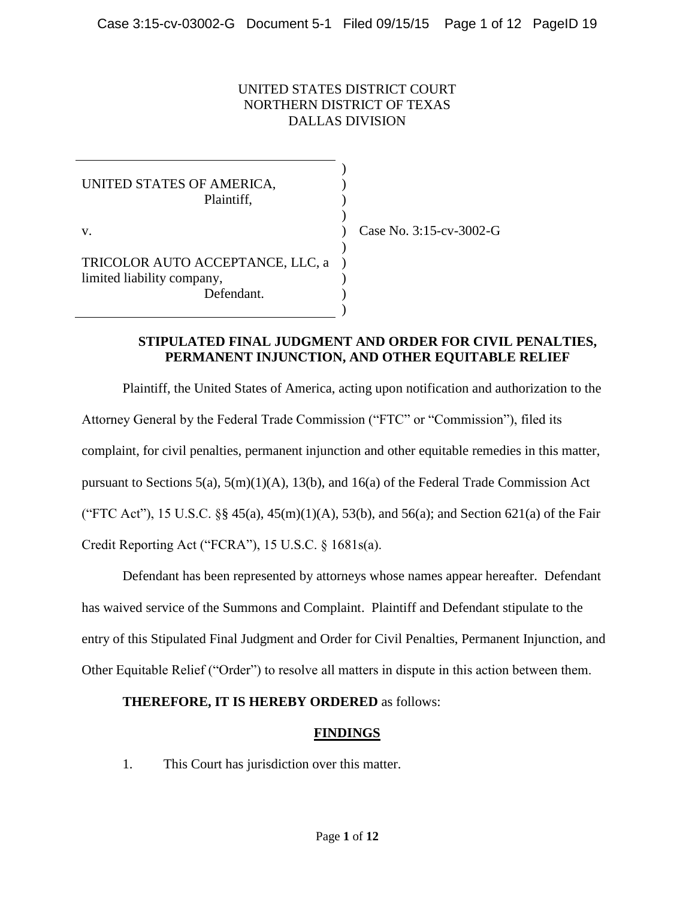#### UNITED STATES DISTRICT COURT NORTHERN DISTRICT OF TEXAS DALLAS DIVISION

) ) ) )

)

) ) )

UNITED STATES OF AMERICA, Plaintiff, v. TRICOLOR AUTO ACCEPTANCE, LLC, a ) limited liability company, Defendant.

) Case No. 3:15-cv-3002-G

#### **STIPULATED FINAL JUDGMENT AND ORDER FOR CIVIL PENALTIES, PERMANENT INJUNCTION, AND OTHER EQUITABLE RELIEF**

Plaintiff, the United States of America, acting upon notification and authorization to the Attorney General by the Federal Trade Commission ("FTC" or "Commission"), filed its complaint, for civil penalties, permanent injunction and other equitable remedies in this matter, pursuant to Sections 5(a), 5(m)(1)(A), 13(b), and 16(a) of the Federal Trade Commission Act ("FTC Act"), 15 U.S.C.  $\S$  $\S$  45(a), 45(m)(1)(A), 53(b), and 56(a); and Section 621(a) of the Fair Credit Reporting Act ("FCRA"), 15 U.S.C. § 1681s(a).

Defendant has been represented by attorneys whose names appear hereafter. Defendant has waived service of the Summons and Complaint. Plaintiff and Defendant stipulate to the entry of this Stipulated Final Judgment and Order for Civil Penalties, Permanent Injunction, and Other Equitable Relief ("Order") to resolve all matters in dispute in this action between them.

#### **THEREFORE, IT IS HEREBY ORDERED** as follows:

## **FINDINGS**

1. This Court has jurisdiction over this matter.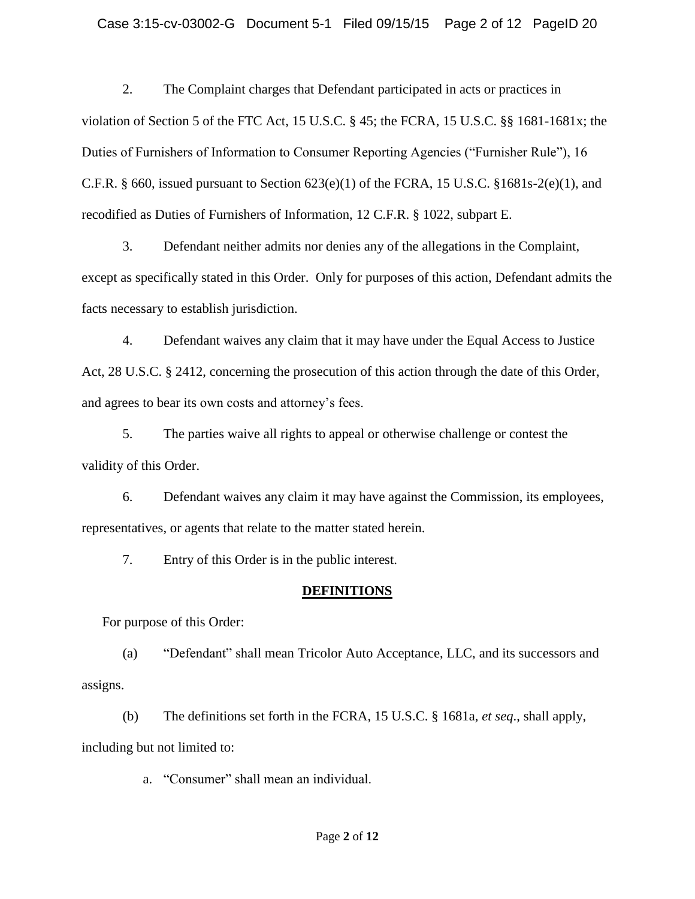2. The Complaint charges that Defendant participated in acts or practices in violation of Section 5 of the FTC Act, 15 U.S.C. § 45; the FCRA, 15 U.S.C. §§ 1681-1681x; the Duties of Furnishers of Information to Consumer Reporting Agencies ("Furnisher Rule"), 16 C.F.R. § 660, issued pursuant to Section  $623(e)(1)$  of the FCRA, 15 U.S.C. §1681s-2(e)(1), and recodified as Duties of Furnishers of Information, 12 C.F.R. § 1022, subpart E.

3. Defendant neither admits nor denies any of the allegations in the Complaint, except as specifically stated in this Order. Only for purposes of this action, Defendant admits the facts necessary to establish jurisdiction.

4. Defendant waives any claim that it may have under the Equal Access to Justice Act, 28 U.S.C. § 2412, concerning the prosecution of this action through the date of this Order, and agrees to bear its own costs and attorney's fees.

5. The parties waive all rights to appeal or otherwise challenge or contest the validity of this Order.

6. Defendant waives any claim it may have against the Commission, its employees, representatives, or agents that relate to the matter stated herein.

7. Entry of this Order is in the public interest.

## **DEFINITIONS**

For purpose of this Order:

(a) "Defendant" shall mean Tricolor Auto Acceptance, LLC, and its successors and assigns.

(b) The definitions set forth in the FCRA, 15 U.S.C. § 1681a, *et seq*., shall apply, including but not limited to:

a. "Consumer" shall mean an individual.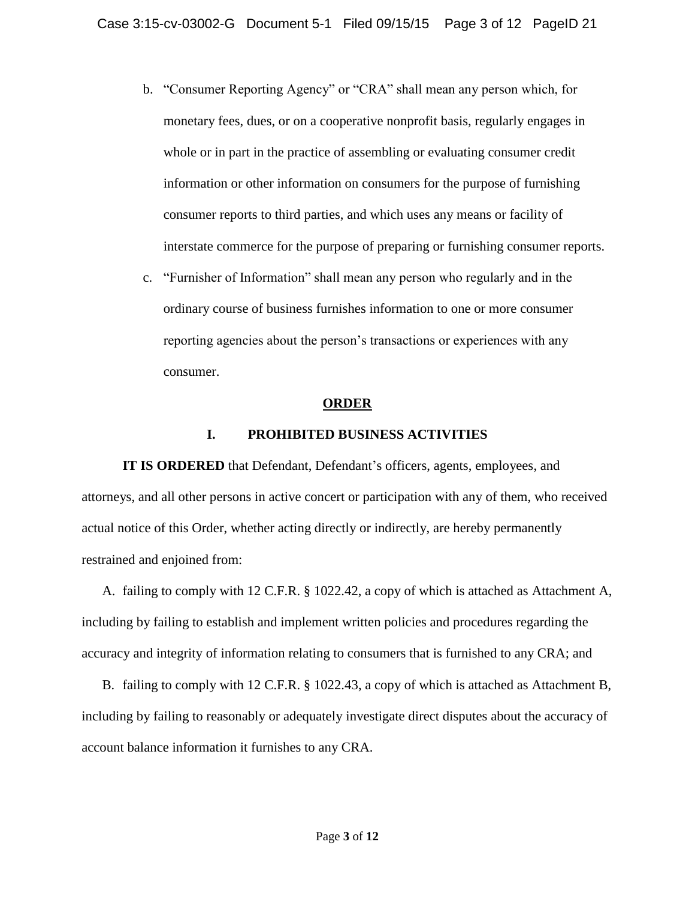- b. "Consumer Reporting Agency" or "CRA" shall mean any person which, for monetary fees, dues, or on a cooperative nonprofit basis, regularly engages in whole or in part in the practice of assembling or evaluating consumer credit information or other information on consumers for the purpose of furnishing consumer reports to third parties, and which uses any means or facility of interstate commerce for the purpose of preparing or furnishing consumer reports.
- c. "Furnisher of Information" shall mean any person who regularly and in the ordinary course of business furnishes information to one or more consumer reporting agencies about the person's transactions or experiences with any consumer.

#### **ORDER**

#### **I. PROHIBITED BUSINESS ACTIVITIES**

**IT IS ORDERED** that Defendant, Defendant's officers, agents, employees, and attorneys, and all other persons in active concert or participation with any of them, who received actual notice of this Order, whether acting directly or indirectly, are hereby permanently restrained and enjoined from:

A. failing to comply with 12 C.F.R. § 1022.42, a copy of which is attached as Attachment A, including by failing to establish and implement written policies and procedures regarding the accuracy and integrity of information relating to consumers that is furnished to any CRA; and

B. failing to comply with 12 C.F.R. § 1022.43, a copy of which is attached as Attachment B, including by failing to reasonably or adequately investigate direct disputes about the accuracy of account balance information it furnishes to any CRA.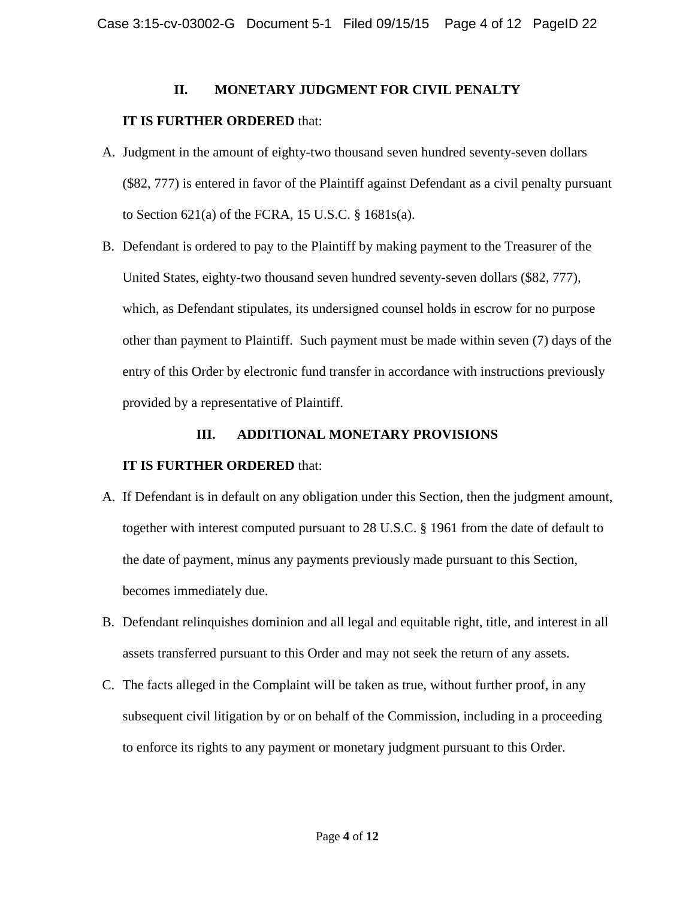### **II. MONETARY JUDGMENT FOR CIVIL PENALTY**

### **IT IS FURTHER ORDERED** that:

- A. Judgment in the amount of eighty-two thousand seven hundred seventy-seven dollars (\$82, 777) is entered in favor of the Plaintiff against Defendant as a civil penalty pursuant to Section 621(a) of the FCRA, 15 U.S.C. § 1681s(a).
- B. Defendant is ordered to pay to the Plaintiff by making payment to the Treasurer of the United States, eighty-two thousand seven hundred seventy-seven dollars (\$82, 777), which, as Defendant stipulates, its undersigned counsel holds in escrow for no purpose other than payment to Plaintiff. Such payment must be made within seven (7) days of the entry of this Order by electronic fund transfer in accordance with instructions previously provided by a representative of Plaintiff.

## **III. ADDITIONAL MONETARY PROVISIONS**

## **IT IS FURTHER ORDERED** that:

- A. If Defendant is in default on any obligation under this Section, then the judgment amount, together with interest computed pursuant to 28 U.S.C. § 1961 from the date of default to the date of payment, minus any payments previously made pursuant to this Section, becomes immediately due.
- B. Defendant relinquishes dominion and all legal and equitable right, title, and interest in all assets transferred pursuant to this Order and may not seek the return of any assets.
- C. The facts alleged in the Complaint will be taken as true, without further proof, in any subsequent civil litigation by or on behalf of the Commission, including in a proceeding to enforce its rights to any payment or monetary judgment pursuant to this Order.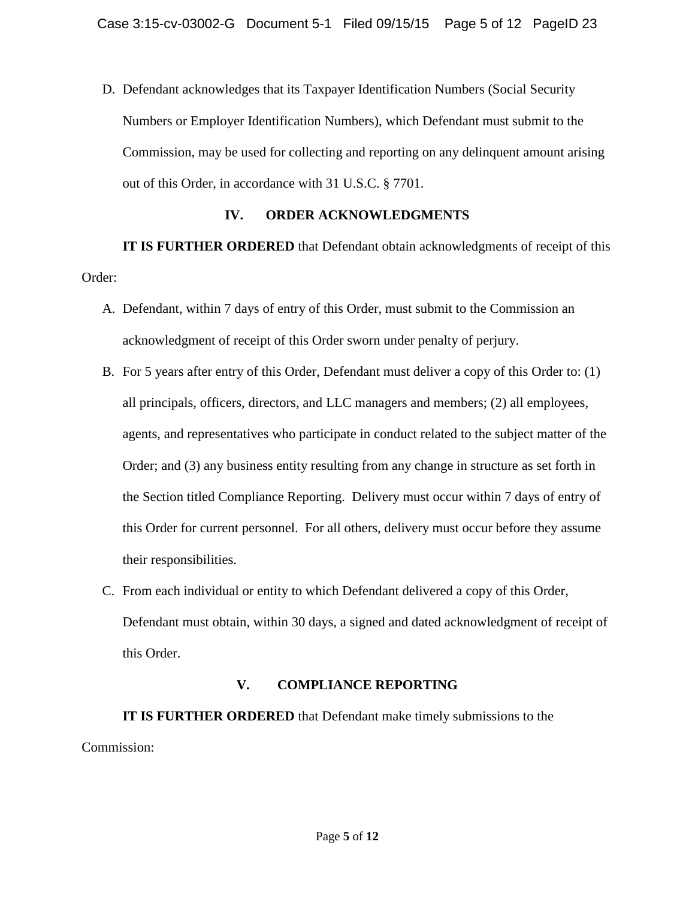D. Defendant acknowledges that its Taxpayer Identification Numbers (Social Security Numbers or Employer Identification Numbers), which Defendant must submit to the Commission, may be used for collecting and reporting on any delinquent amount arising out of this Order, in accordance with 31 U.S.C. § 7701.

### **IV. ORDER ACKNOWLEDGMENTS**

**IT IS FURTHER ORDERED** that Defendant obtain acknowledgments of receipt of this Order:

- A. Defendant, within 7 days of entry of this Order, must submit to the Commission an acknowledgment of receipt of this Order sworn under penalty of perjury.
- B. For 5 years after entry of this Order, Defendant must deliver a copy of this Order to: (1) all principals, officers, directors, and LLC managers and members; (2) all employees, agents, and representatives who participate in conduct related to the subject matter of the Order; and (3) any business entity resulting from any change in structure as set forth in the Section titled Compliance Reporting. Delivery must occur within 7 days of entry of this Order for current personnel. For all others, delivery must occur before they assume their responsibilities.
- C. From each individual or entity to which Defendant delivered a copy of this Order, Defendant must obtain, within 30 days, a signed and dated acknowledgment of receipt of this Order.

## **V. COMPLIANCE REPORTING**

**IT IS FURTHER ORDERED** that Defendant make timely submissions to the Commission: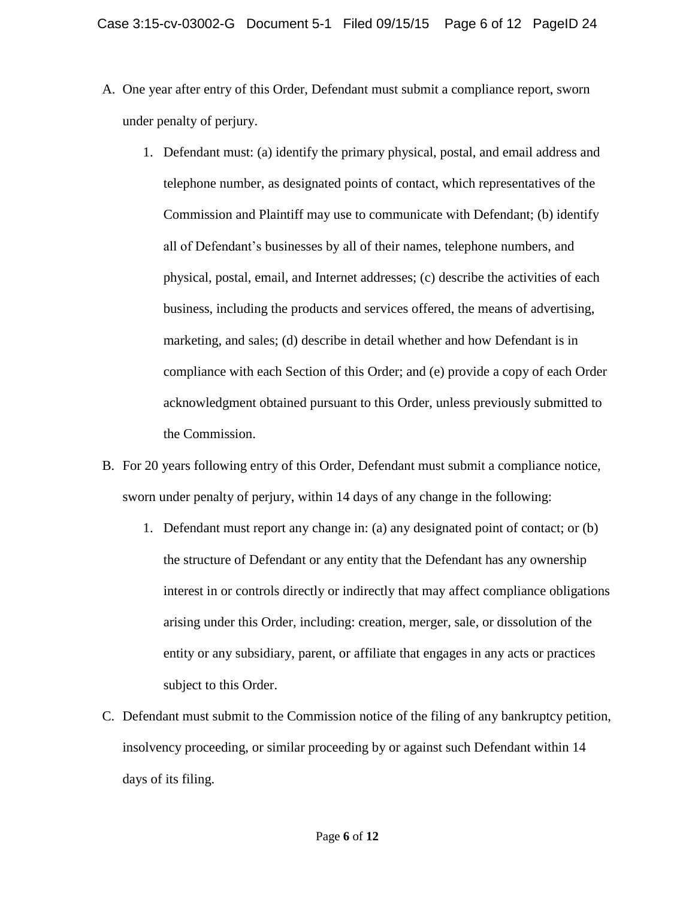- A. One year after entry of this Order, Defendant must submit a compliance report, sworn under penalty of perjury.
	- 1. Defendant must: (a) identify the primary physical, postal, and email address and telephone number, as designated points of contact, which representatives of the Commission and Plaintiff may use to communicate with Defendant; (b) identify all of Defendant's businesses by all of their names, telephone numbers, and physical, postal, email, and Internet addresses; (c) describe the activities of each business, including the products and services offered, the means of advertising, marketing, and sales; (d) describe in detail whether and how Defendant is in compliance with each Section of this Order; and (e) provide a copy of each Order acknowledgment obtained pursuant to this Order, unless previously submitted to the Commission.
- B. For 20 years following entry of this Order, Defendant must submit a compliance notice, sworn under penalty of perjury, within 14 days of any change in the following:
	- 1. Defendant must report any change in: (a) any designated point of contact; or (b) the structure of Defendant or any entity that the Defendant has any ownership interest in or controls directly or indirectly that may affect compliance obligations arising under this Order, including: creation, merger, sale, or dissolution of the entity or any subsidiary, parent, or affiliate that engages in any acts or practices subject to this Order.
- C. Defendant must submit to the Commission notice of the filing of any bankruptcy petition, insolvency proceeding, or similar proceeding by or against such Defendant within 14 days of its filing.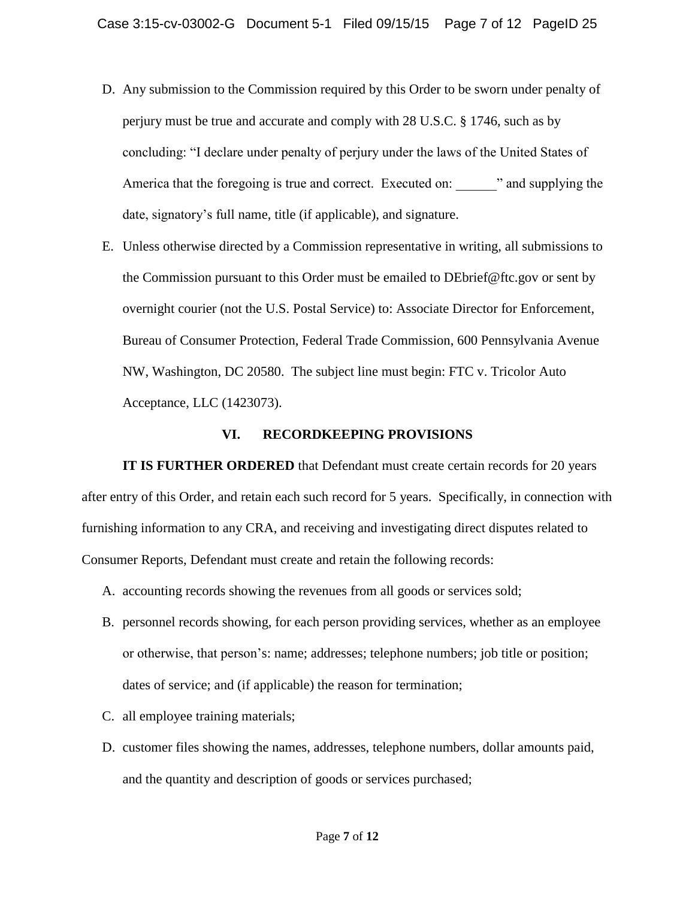- D. Any submission to the Commission required by this Order to be sworn under penalty of perjury must be true and accurate and comply with 28 U.S.C. § 1746, such as by concluding: "I declare under penalty of perjury under the laws of the United States of America that the foregoing is true and correct. Executed on:  $\cdot$  and supplying the date, signatory's full name, title (if applicable), and signature.
- E. Unless otherwise directed by a Commission representative in writing, all submissions to the Commission pursuant to this Order must be emailed to DEbrief@ftc.gov or sent by overnight courier (not the U.S. Postal Service) to: Associate Director for Enforcement, Bureau of Consumer Protection, Federal Trade Commission, 600 Pennsylvania Avenue NW, Washington, DC 20580. The subject line must begin: FTC v. Tricolor Auto Acceptance, LLC (1423073).

### **VI. RECORDKEEPING PROVISIONS**

**IT IS FURTHER ORDERED** that Defendant must create certain records for 20 years after entry of this Order, and retain each such record for 5 years. Specifically, in connection with furnishing information to any CRA, and receiving and investigating direct disputes related to Consumer Reports, Defendant must create and retain the following records:

- A. accounting records showing the revenues from all goods or services sold;
- B. personnel records showing, for each person providing services, whether as an employee or otherwise, that person's: name; addresses; telephone numbers; job title or position; dates of service; and (if applicable) the reason for termination;
- C. all employee training materials;
- D. customer files showing the names, addresses, telephone numbers, dollar amounts paid, and the quantity and description of goods or services purchased;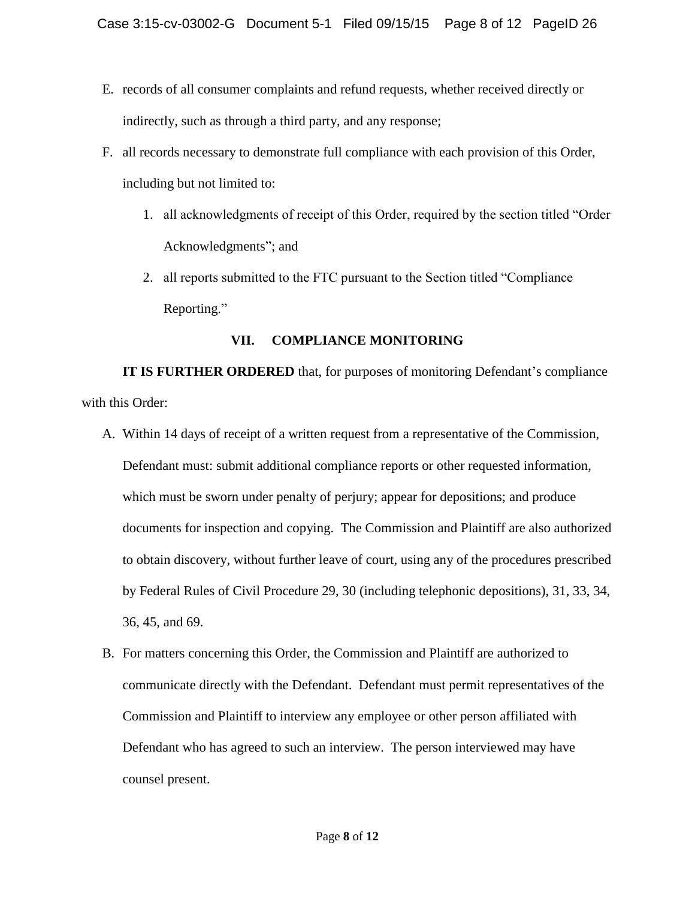- E. records of all consumer complaints and refund requests, whether received directly or indirectly, such as through a third party, and any response;
- F. all records necessary to demonstrate full compliance with each provision of this Order, including but not limited to:
	- 1. all acknowledgments of receipt of this Order, required by the section titled "Order Acknowledgments"; and
	- 2. all reports submitted to the FTC pursuant to the Section titled "Compliance Reporting."

## **VII. COMPLIANCE MONITORING**

**IT IS FURTHER ORDERED** that, for purposes of monitoring Defendant's compliance with this Order:

- A. Within 14 days of receipt of a written request from a representative of the Commission, Defendant must: submit additional compliance reports or other requested information, which must be sworn under penalty of perjury; appear for depositions; and produce documents for inspection and copying. The Commission and Plaintiff are also authorized to obtain discovery, without further leave of court, using any of the procedures prescribed by Federal Rules of Civil Procedure 29, 30 (including telephonic depositions), 31, 33, 34, 36, 45, and 69.
- B. For matters concerning this Order, the Commission and Plaintiff are authorized to communicate directly with the Defendant. Defendant must permit representatives of the Commission and Plaintiff to interview any employee or other person affiliated with Defendant who has agreed to such an interview. The person interviewed may have counsel present.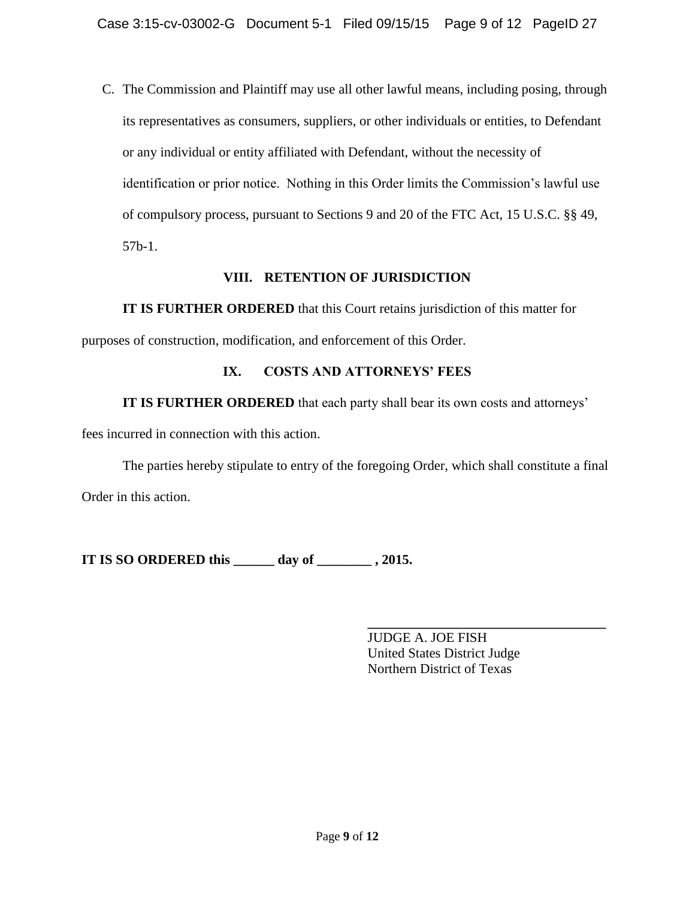C. The Commission and Plaintiff may use all other lawful means, including posing, through its representatives as consumers, suppliers, or other individuals or entities, to Defendant or any individual or entity affiliated with Defendant, without the necessity of identification or prior notice. Nothing in this Order limits the Commission's lawful use of compulsory process, pursuant to Sections 9 and 20 of the FTC Act, 15 U.S.C. §§ 49, 57b-1.

## **VIII. RETENTION OF JURISDICTION**

**IT IS FURTHER ORDERED** that this Court retains jurisdiction of this matter for purposes of construction, modification, and enforcement of this Order.

# **IX. COSTS AND ATTORNEYS' FEES**

**IT IS FURTHER ORDERED** that each party shall bear its own costs and attorneys'

fees incurred in connection with this action.

The parties hereby stipulate to entry of the foregoing Order, which shall constitute a final Order in this action.

**IT IS SO ORDERED this \_\_\_\_\_\_ day of \_\_\_\_\_\_\_\_ , 2015.**

**\_\_\_\_\_\_\_\_\_\_\_\_\_\_\_\_\_\_\_\_\_\_\_\_\_\_\_\_\_\_\_\_\_\_\_** JUDGE A. JOE FISH United States District Judge Northern District of Texas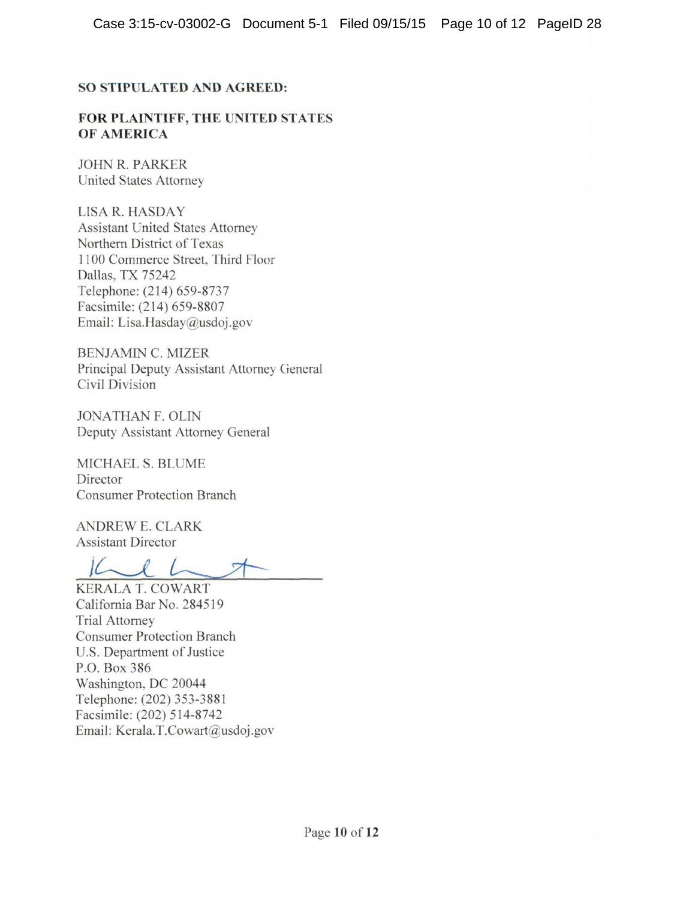### **SO STIPULATED AND AGREED:**

#### **FOR PLAINTIFF, THE UNITED STATES OF AMERICA**

JOHN R. PARKER United States Attorney

LISA R. HASDAY Assistant United States Attorney Northern District of Texas 11 00 Commerce Street, Third Floor Dallas, TX 75242 Telephone: (214) 659-8737 Facsimile: (214) 659-8807 Email: Lisa.Hasday@usdoj.gov

BENJAMIN C. MIZER Principal Deputy Assistant Attorney General Civil Division

JONATHAN F. OLIN Deputy Assistant Attorney General

MICHAELS. BLUME Director Consumer Protection Branch

ANDREW E. CLARK Assistant Director

 $LC$ L

KERALA T. COWART California Bar No. 284519 Trial Attorney Consumer Protection Branch U.S. Department of Justice P.O. Box 386 Washington, DC 20044 Telephone: (202) 353-3881 Facsimile: (202) 514-8742 Email: Kerala.T.Cowart@usdoj.gov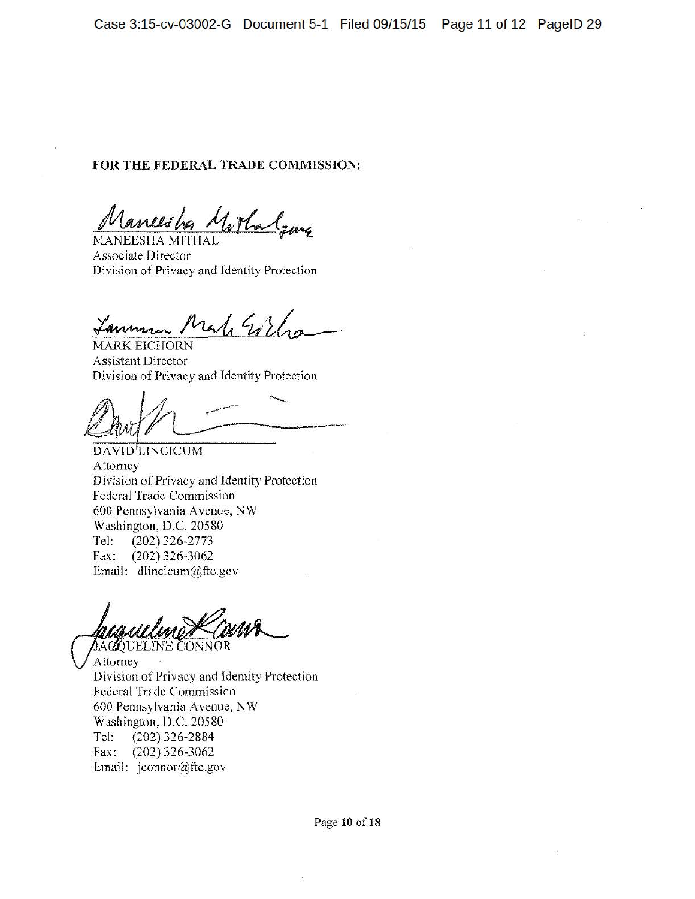#### **FOR THE FEDERAL TRADE COMMISSION:**

Mancesha Mortalama

Division of Privacy and Identity Protection

Lamman Make Esthe

**MARK EICHORN** Assistant Director Division of Privacy and Identity Protection

Protection

DAVID<sup>I</sup>LINCICUM Attorney Division of Privacy and Identity Protection Federal Trade Commission 600 Pennsylvania A venue, NW Washington, D.C. 20580 Tel: (202) 326-2773 Fax: (202) 326-3062 Email: dlincicum@ftc.gov

*DACQUELINE CONNOR* Attorney Division of Privacy and Identity Protection Federal Trade Commission 600 Pennsylvania Avenue, NW Washington, D.C. 20580 Tel: (202) 326-2884 Fax: (202) 326-3062 Email: jconnor@ftc.gov